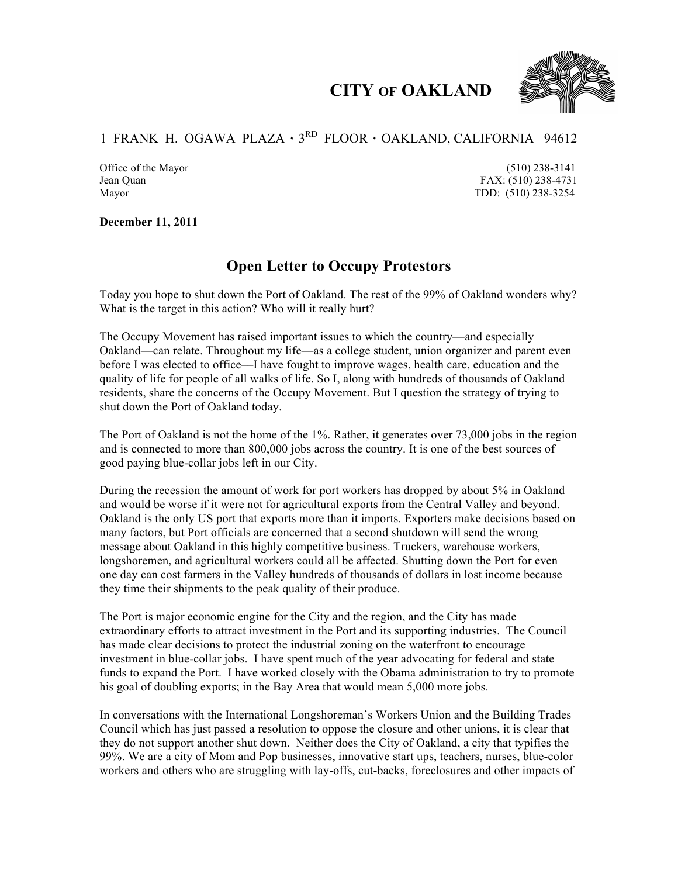## **CITY OF OAKLAND**



## 1 FRANK H. OGAWA PLAZA · 3RD FLOOR · OAKLAND, CALIFORNIA 94612

Office of the Mayor (510) 238-3141 Jean Quan FAX: (510) 238-4731 Mayor TDD: (510) 238-3254

**December 11, 2011**

## **Open Letter to Occupy Protestors**

Today you hope to shut down the Port of Oakland. The rest of the 99% of Oakland wonders why? What is the target in this action? Who will it really hurt?

The Occupy Movement has raised important issues to which the country—and especially Oakland—can relate. Throughout my life—as a college student, union organizer and parent even before I was elected to office––I have fought to improve wages, health care, education and the quality of life for people of all walks of life. So I, along with hundreds of thousands of Oakland residents, share the concerns of the Occupy Movement. But I question the strategy of trying to shut down the Port of Oakland today.

The Port of Oakland is not the home of the 1%. Rather, it generates over 73,000 jobs in the region and is connected to more than 800,000 jobs across the country. It is one of the best sources of good paying blue-collar jobs left in our City.

During the recession the amount of work for port workers has dropped by about 5% in Oakland and would be worse if it were not for agricultural exports from the Central Valley and beyond. Oakland is the only US port that exports more than it imports. Exporters make decisions based on many factors, but Port officials are concerned that a second shutdown will send the wrong message about Oakland in this highly competitive business. Truckers, warehouse workers, longshoremen, and agricultural workers could all be affected. Shutting down the Port for even one day can cost farmers in the Valley hundreds of thousands of dollars in lost income because they time their shipments to the peak quality of their produce.

The Port is major economic engine for the City and the region, and the City has made extraordinary efforts to attract investment in the Port and its supporting industries. The Council has made clear decisions to protect the industrial zoning on the waterfront to encourage investment in blue-collar jobs. I have spent much of the year advocating for federal and state funds to expand the Port. I have worked closely with the Obama administration to try to promote his goal of doubling exports; in the Bay Area that would mean 5,000 more jobs.

In conversations with the International Longshoreman's Workers Union and the Building Trades Council which has just passed a resolution to oppose the closure and other unions, it is clear that they do not support another shut down. Neither does the City of Oakland, a city that typifies the 99%. We are a city of Mom and Pop businesses, innovative start ups, teachers, nurses, blue-color workers and others who are struggling with lay-offs, cut-backs, foreclosures and other impacts of